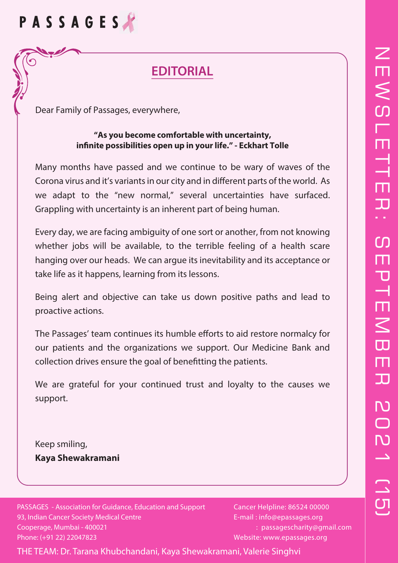# $\overline{Z}$  $\overline{\mathsf{H}}$  $\lesssim$ l<br>T T **Time**  $\Box$  $\overline{\mathbf{L}}$  $\bigcap$ E  $\mathbf T$  $\overline{\phantom{a}}$ EMBER 2021 (15) $\Box$  $\overline{\mathbf{D}}$ N O<br>M  $\sqrt{2}$

# PASSAGES

 $\blacktriangleright$ 

# **EDITORIAL**

Dear Family of Passages, everywhere,

#### **"As you become comfortable with uncertainty,** infinite possibilities open up in your life." - Eckhart Tolle

Many months have passed and we continue to be wary of waves of the Corona virus and it's variants in our city and in different parts of the world. As we adapt to the "new normal," several uncertainties have surfaced. Grappling with uncertainty is an inherent part of being human.

Every day, we are facing ambiguity of one sort or another, from not knowing whether jobs will be available, to the terrible feeling of a health scare hanging over our heads. We can argue its inevitability and its acceptance or take life as it happens, learning from its lessons.

Being alert and objective can take us down positive paths and lead to proactive actions.

The Passages' team continues its humble efforts to aid restore normalcy for our patients and the organizations we support. Our Medicine Bank and collection drives ensure the goal of benefitting the patients.

We are grateful for your continued trust and loyalty to the causes we support.

Keep smiling, **Kaya Shewakramani**

PASSAGES - Association for Guidance, Education and Support 93, Indian Cancer Society Medical Centre Cooperage, Mumbai - 400021 Phone: (+91 22) 22047823

Cancer Helpline: 86524 00000 E-mail : info@epassages.org : passagescharity@gmail.com Website: www.epassages.org

THE TEAM: Dr. Tarana Khubchandani, Kaya Shewakramani, Valerie Singhvi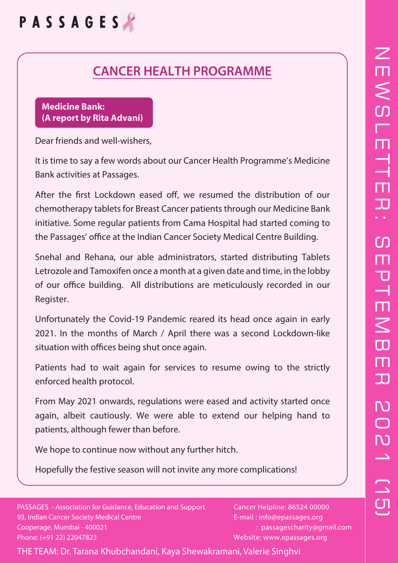

### **CANCER HEALTH PROGRAMME**

#### **Medicine Bank: (A report by Rita Advani)**

Dear friends and well-wishers,

It is time to say a few words about our Cancer Health Programme's Medicine Bank activities at Passages.

After the first Lockdown eased off, we resumed the distribution of our chemotherapy tablets for Breast Cancer patients through our Medicine Bank initiative. Some regular patients from Cama Hospital had started coming to the Passages' office at the Indian Cancer Society Medical Centre Building.

Snehal and Rehana, our able administrators, started distributing Tablets Letrozole and Tamoxifen once a month at a given date and time, in the lobby of our office building. All distributions are meticulously recorded in our Register.

Unfortunately the Covid-19 Pandemic reared its head once again in early 2021. In the months of March / April there was a second Lockdown-like situation with offices being shut once again.

Patients had to wait again for services to resume owing to the strictly enforced health protocol.

From May 2021 onwards, regulations were eased and activity started once again, albeit cautiously. We were able to extend our helping hand to patients, although fewer than before.

We hope to continue now without any further hitch.

Hopefully the festive season will not invite any more complications!

PASSAGES - Association for Guidance, Education and Support 93, Indian Cancer Society Medical Centre Cooperage, Mumbai - 400021 Phone: (+91 22) 22047823

Cancer Helpline: 86524 00000 E-mail : info@epassages.org : passagescharity@gmail.com Website: www.epassages.org

THE TEAM: Dr. Tarana Khubchandani, Kaya Shewakramani, Valerie Singhvi